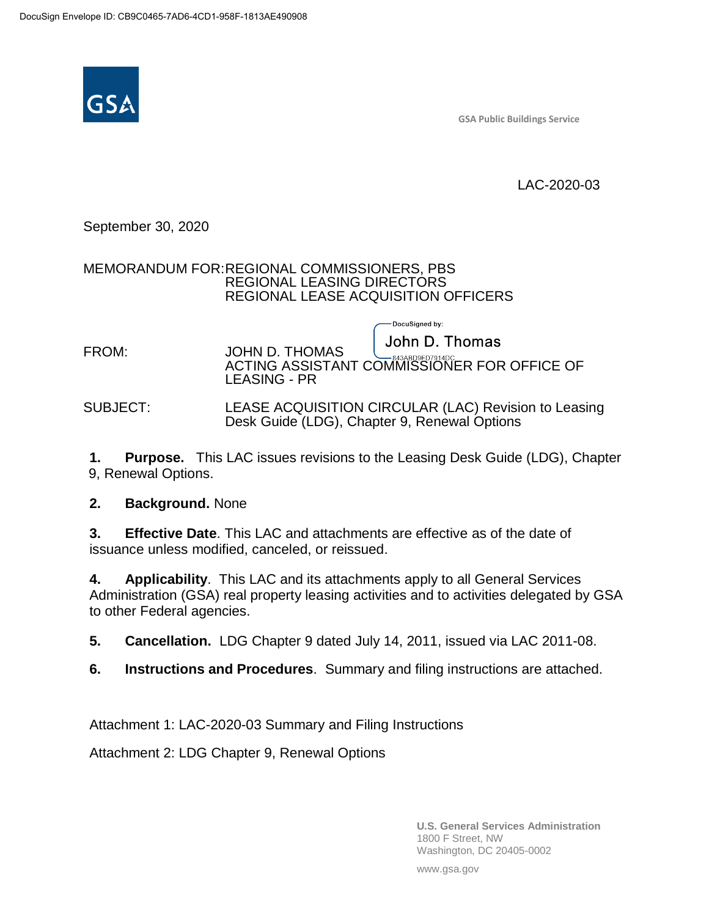

**GSA Public Buildings Service**

LAC-2020-03

### September 30, 2020

#### MEMORANDUM FOR:REGIONAL COMMISSIONERS, PBS REGIONAL LEASING DIRECTORS REGIONAL LEASE ACQUISITION OFFICERS

John D. Thomas FROM: JOHN D. THOMAS ACTING ASSISTANT COMMISSIONER FOR OFFICE OF LEASING - PR

#### SUBJECT: LEASE ACQUISITION CIRCULAR (LAC) Revision to Leasing Desk Guide (LDG), Chapter 9, Renewal Options

DocuSigned by:

**1. Purpose.** This LAC issues revisions to the Leasing Desk Guide (LDG), Chapter 9, Renewal Options.

**2. Background.** None

**3. Effective Date**. This LAC and attachments are effective as of the date of issuance unless modified, canceled, or reissued.

**4. Applicability**. This LAC and its attachments apply to all General Services Administration (GSA) real property leasing activities and to activities delegated by GSA to other Federal agencies.

**5. Cancellation.** LDG Chapter 9 dated July 14, 2011, issued via LAC 2011-08.

**6. Instructions and Procedures**. Summary and filing instructions are attached.

Attachment 1: LAC-2020-03 Summary and Filing Instructions

Attachment 2: LDG Chapter 9, Renewal Options

**U.S. General Services Administration** 1800 F Street, NW Washington, DC 20405-0002

www.gsa.gov